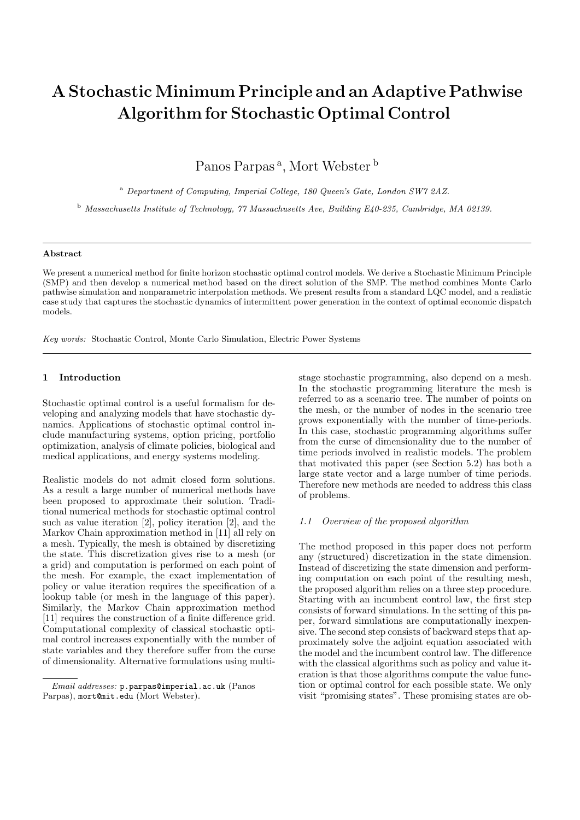# A StochasticMinimum Principle and an Adaptive Pathwise Algorithm for Stochastic Optimal Control

Panos Parpas<sup>a</sup>, Mort Webster<sup>b</sup>

<sup>a</sup> Department of Computing, Imperial College, 180 Queen's Gate, London SW7 2AZ.

<sup>b</sup> Massachusetts Institute of Technology, 77 Massachusetts Ave, Building E40-235, Cambridge, MA 02139.

#### Abstract

We present a numerical method for finite horizon stochastic optimal control models. We derive a Stochastic Minimum Principle (SMP) and then develop a numerical method based on the direct solution of the SMP. The method combines Monte Carlo pathwise simulation and nonparametric interpolation methods. We present results from a standard LQC model, and a realistic case study that captures the stochastic dynamics of intermittent power generation in the context of optimal economic dispatch models.

Key words: Stochastic Control, Monte Carlo Simulation, Electric Power Systems

# 1 Introduction

Stochastic optimal control is a useful formalism for developing and analyzing models that have stochastic dynamics. Applications of stochastic optimal control include manufacturing systems, option pricing, portfolio optimization, analysis of climate policies, biological and medical applications, and energy systems modeling.

Realistic models do not admit closed form solutions. As a result a large number of numerical methods have been proposed to approximate their solution. Traditional numerical methods for stochastic optimal control such as value iteration [2], policy iteration [2], and the Markov Chain approximation method in [11] all rely on a mesh. Typically, the mesh is obtained by discretizing the state. This discretization gives rise to a mesh (or a grid) and computation is performed on each point of the mesh. For example, the exact implementation of policy or value iteration requires the specification of a lookup table (or mesh in the language of this paper). Similarly, the Markov Chain approximation method [11] requires the construction of a finite difference grid. Computational complexity of classical stochastic optimal control increases exponentially with the number of state variables and they therefore suffer from the curse of dimensionality. Alternative formulations using multistage stochastic programming, also depend on a mesh. In the stochastic programming literature the mesh is referred to as a scenario tree. The number of points on the mesh, or the number of nodes in the scenario tree grows exponentially with the number of time-periods. In this case, stochastic programming algorithms suffer from the curse of dimensionality due to the number of time periods involved in realistic models. The problem that motivated this paper (see Section 5.2) has both a large state vector and a large number of time periods. Therefore new methods are needed to address this class of problems.

#### 1.1 Overview of the proposed algorithm

The method proposed in this paper does not perform any (structured) discretization in the state dimension. Instead of discretizing the state dimension and performing computation on each point of the resulting mesh, the proposed algorithm relies on a three step procedure. Starting with an incumbent control law, the first step consists of forward simulations. In the setting of this paper, forward simulations are computationally inexpensive. The second step consists of backward steps that approximately solve the adjoint equation associated with the model and the incumbent control law. The difference with the classical algorithms such as policy and value iteration is that those algorithms compute the value function or optimal control for each possible state. We only visit "promising states". These promising states are ob-

Email addresses: p.parpas@imperial.ac.uk (Panos Parpas), mort@mit.edu (Mort Webster).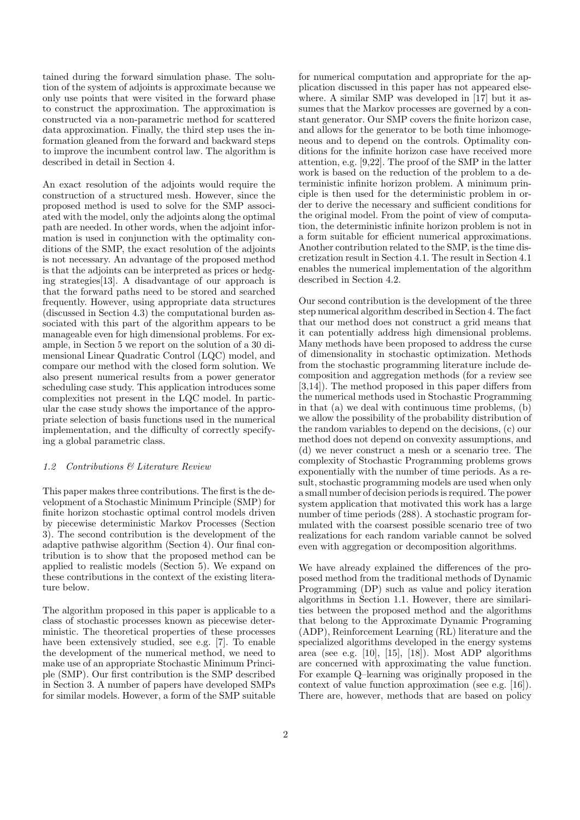tained during the forward simulation phase. The solution of the system of adjoints is approximate because we only use points that were visited in the forward phase to construct the approximation. The approximation is constructed via a non-parametric method for scattered data approximation. Finally, the third step uses the information gleaned from the forward and backward steps to improve the incumbent control law. The algorithm is described in detail in Section 4.

An exact resolution of the adjoints would require the construction of a structured mesh. However, since the proposed method is used to solve for the SMP associated with the model, only the adjoints along the optimal path are needed. In other words, when the adjoint information is used in conjunction with the optimality conditions of the SMP, the exact resolution of the adjoints is not necessary. An advantage of the proposed method is that the adjoints can be interpreted as prices or hedging strategies[13]. A disadvantage of our approach is that the forward paths need to be stored and searched frequently. However, using appropriate data structures (discussed in Section 4.3) the computational burden associated with this part of the algorithm appears to be manageable even for high dimensional problems. For example, in Section 5 we report on the solution of a 30 dimensional Linear Quadratic Control (LQC) model, and compare our method with the closed form solution. We also present numerical results from a power generator scheduling case study. This application introduces some complexities not present in the LQC model. In particular the case study shows the importance of the appropriate selection of basis functions used in the numerical implementation, and the difficulty of correctly specifying a global parametric class.

## 1.2 Contributions & Literature Review

This paper makes three contributions. The first is the development of a Stochastic Minimum Principle (SMP) for finite horizon stochastic optimal control models driven by piecewise deterministic Markov Processes (Section 3). The second contribution is the development of the adaptive pathwise algorithm (Section 4). Our final contribution is to show that the proposed method can be applied to realistic models (Section 5). We expand on these contributions in the context of the existing literature below.

The algorithm proposed in this paper is applicable to a class of stochastic processes known as piecewise deterministic. The theoretical properties of these processes have been extensively studied, see e.g. [7]. To enable the development of the numerical method, we need to make use of an appropriate Stochastic Minimum Principle (SMP). Our first contribution is the SMP described in Section 3. A number of papers have developed SMPs for similar models. However, a form of the SMP suitable

for numerical computation and appropriate for the application discussed in this paper has not appeared elsewhere. A similar SMP was developed in [17] but it assumes that the Markov processes are governed by a constant generator. Our SMP covers the finite horizon case, and allows for the generator to be both time inhomogeneous and to depend on the controls. Optimality conditions for the infinite horizon case have received more attention, e.g. [9,22]. The proof of the SMP in the latter work is based on the reduction of the problem to a deterministic infinite horizon problem. A minimum principle is then used for the deterministic problem in order to derive the necessary and sufficient conditions for the original model. From the point of view of computation, the deterministic infinite horizon problem is not in a form suitable for efficient numerical approximations. Another contribution related to the SMP, is the time discretization result in Section 4.1. The result in Section 4.1 enables the numerical implementation of the algorithm described in Section 4.2.

Our second contribution is the development of the three step numerical algorithm described in Section 4. The fact that our method does not construct a grid means that it can potentially address high dimensional problems. Many methods have been proposed to address the curse of dimensionality in stochastic optimization. Methods from the stochastic programming literature include decomposition and aggregation methods (for a review see [3,14]). The method proposed in this paper differs from the numerical methods used in Stochastic Programming in that (a) we deal with continuous time problems, (b) we allow the possibility of the probability distribution of the random variables to depend on the decisions, (c) our method does not depend on convexity assumptions, and (d) we never construct a mesh or a scenario tree. The complexity of Stochastic Programming problems grows exponentially with the number of time periods. As a result, stochastic programming models are used when only a small number of decision periods is required. The power system application that motivated this work has a large number of time periods (288). A stochastic program formulated with the coarsest possible scenario tree of two realizations for each random variable cannot be solved even with aggregation or decomposition algorithms.

We have already explained the differences of the proposed method from the traditional methods of Dynamic Programming (DP) such as value and policy iteration algorithms in Section 1.1. However, there are similarities between the proposed method and the algorithms that belong to the Approximate Dynamic Programing (ADP), Reinforcement Learning (RL) literature and the specialized algorithms developed in the energy systems area (see e.g. [10], [15], [18]). Most ADP algorithms are concerned with approximating the value function. For example Q–learning was originally proposed in the context of value function approximation (see e.g. [16]). There are, however, methods that are based on policy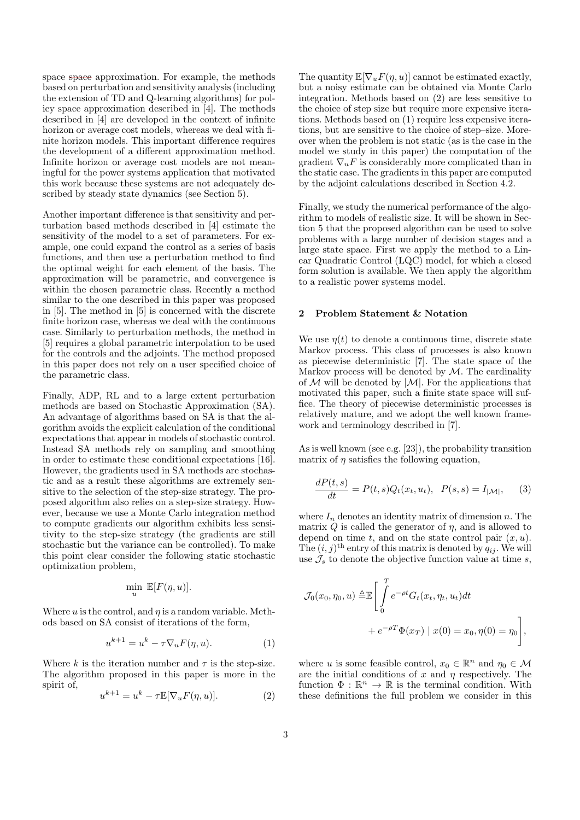space space approximation. For example, the methods based on perturbation and sensitivity analysis (including the extension of TD and Q-learning algorithms) for policy space approximation described in [4]. The methods described in [4] are developed in the context of infinite horizon or average cost models, whereas we deal with finite horizon models. This important difference requires the development of a different approximation method. Infinite horizon or average cost models are not meaningful for the power systems application that motivated this work because these systems are not adequately described by steady state dynamics (see Section 5).

Another important difference is that sensitivity and perturbation based methods described in [4] estimate the sensitivity of the model to a set of parameters. For example, one could expand the control as a series of basis functions, and then use a perturbation method to find the optimal weight for each element of the basis. The approximation will be parametric, and convergence is within the chosen parametric class. Recently a method similar to the one described in this paper was proposed in [5]. The method in [5] is concerned with the discrete finite horizon case, whereas we deal with the continuous case. Similarly to perturbation methods, the method in [5] requires a global parametric interpolation to be used for the controls and the adjoints. The method proposed in this paper does not rely on a user specified choice of the parametric class.

Finally, ADP, RL and to a large extent perturbation methods are based on Stochastic Approximation (SA). An advantage of algorithms based on SA is that the algorithm avoids the explicit calculation of the conditional expectations that appear in models of stochastic control. Instead SA methods rely on sampling and smoothing in order to estimate these conditional expectations [16]. However, the gradients used in SA methods are stochastic and as a result these algorithms are extremely sensitive to the selection of the step-size strategy. The proposed algorithm also relies on a step-size strategy. However, because we use a Monte Carlo integration method to compute gradients our algorithm exhibits less sensitivity to the step-size strategy (the gradients are still stochastic but the variance can be controlled). To make this point clear consider the following static stochastic optimization problem,

$$
\min_{u} \ \mathbb{E}[F(\eta, u)].
$$

Where u is the control, and  $\eta$  is a random variable. Methods based on SA consist of iterations of the form,

$$
u^{k+1} = u^k - \tau \nabla_u F(\eta, u). \tag{1}
$$

Where k is the iteration number and  $\tau$  is the step-size. The algorithm proposed in this paper is more in the spirit of,

$$
u^{k+1} = u^k - \tau \mathbb{E}[\nabla_u F(\eta, u)].
$$
\n(2)

The quantity  $\mathbb{E}[\nabla_u F(\eta, u)]$  cannot be estimated exactly, but a noisy estimate can be obtained via Monte Carlo integration. Methods based on (2) are less sensitive to the choice of step size but require more expensive iterations. Methods based on (1) require less expensive iterations, but are sensitive to the choice of step–size. Moreover when the problem is not static (as is the case in the model we study in this paper) the computation of the gradient  $\nabla_u F$  is considerably more complicated than in the static case. The gradients in this paper are computed by the adjoint calculations described in Section 4.2.

Finally, we study the numerical performance of the algorithm to models of realistic size. It will be shown in Section 5 that the proposed algorithm can be used to solve problems with a large number of decision stages and a large state space. First we apply the method to a Linear Quadratic Control (LQC) model, for which a closed form solution is available. We then apply the algorithm to a realistic power systems model.

## 2 Problem Statement & Notation

We use  $\eta(t)$  to denote a continuous time, discrete state Markov process. This class of processes is also known as piecewise deterministic [7]. The state space of the Markov process will be denoted by  $M$ . The cardinality of  $M$  will be denoted by  $|M|$ . For the applications that motivated this paper, such a finite state space will suffice. The theory of piecewise deterministic processes is relatively mature, and we adopt the well known framework and terminology described in [7].

As is well known (see e.g. [23]), the probability transition matrix of  $\eta$  satisfies the following equation,

$$
\frac{dP(t,s)}{dt} = P(t,s)Q_t(x_t, u_t), \ \ P(s,s) = I_{|\mathcal{M}|}, \tag{3}
$$

where  $I_n$  denotes an identity matrix of dimension n. The matrix  $Q$  is called the generator of  $\eta$ , and is allowed to depend on time t, and on the state control pair  $(x, u)$ . The  $(i, j)$ <sup>th</sup> entry of this matrix is denoted by  $q_{ij}$ . We will use  $\mathcal{J}_s$  to denote the objective function value at time s,

$$
\mathcal{J}_0(x_0, \eta_0, u) \triangleq \mathbb{E} \Bigg[ \int_0^T e^{-\rho t} G_t(x_t, \eta_t, u_t) dt + e^{-\rho T} \Phi(x_T) \mid x(0) = x_0, \eta(0) = \eta_0 \Bigg],
$$

where u is some feasible control,  $x_0 \in \mathbb{R}^n$  and  $\eta_0 \in \mathcal{M}$ are the initial conditions of x and  $\eta$  respectively. The function  $\Phi : \mathbb{R}^n \to \mathbb{R}$  is the terminal condition. With these definitions the full problem we consider in this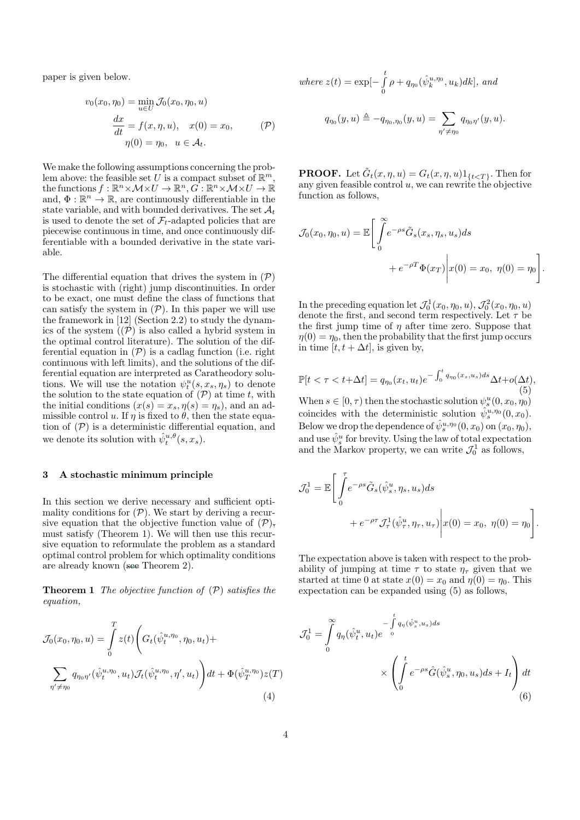paper is given below.

$$
v_0(x_0, \eta_0) = \min_{u \in U} \mathcal{J}_0(x_0, \eta_0, u)
$$

$$
\frac{dx}{dt} = f(x, \eta, u), \quad x(0) = x_0,
$$

$$
\eta(0) = \eta_0, \quad u \in \mathcal{A}_t.
$$
 (P)

We make the following assumptions concerning the problem above: the feasible set U is a compact subset of  $\mathbb{R}^m$ , the functions  $f: \mathbb{R}^n \times \mathcal{M} \times U \to \mathbb{R}^n, G: \mathbb{R}^n \times \mathcal{M} \times U \to \mathbb{R}$ and,  $\Phi : \mathbb{R}^n \to \mathbb{R}$ , are continuously differentiable in the state variable, and with bounded derivatives. The set  $\mathcal{A}_t$ is used to denote the set of  $\mathcal{F}_t$ -adapted policies that are piecewise continuous in time, and once continuously differentiable with a bounded derivative in the state variable.

The differential equation that drives the system in  $(\mathcal{P})$ is stochastic with (right) jump discontinuities. In order to be exact, one must define the class of functions that can satisfy the system in  $(\mathcal{P})$ . In this paper we will use the framework in [12] (Section 2.2) to study the dynamics of the system  $\tilde{I}(\tilde{P})$  is also called a hybrid system in the optimal control literature). The solution of the differential equation in  $(\mathcal{P})$  is a cadlag function (i.e. right continuous with left limits), and the solutions of the differential equation are interpreted as Caratheodory solutions. We will use the notation  $\psi_t^u(s, x_s, \eta_s)$  to denote the solution to the state equation of  $(\mathcal{P})$  at time t, with the initial conditions  $(x(s) = x_s, \eta(s) = \eta_s)$ , and an admissible control u. If  $\eta$  is fixed to  $\theta$ , then the state equation of  $(\mathcal{P})$  is a deterministic differential equation, and we denote its solution with  $\hat{\psi}_t^{u,\theta}(s,x_s)$ .

## 3 A stochastic minimum principle

In this section we derive necessary and sufficient optimality conditions for  $(\mathcal{P})$ . We start by deriving a recursive equation that the objective function value of  $(\mathcal{P})$ , must satisfy (Theorem 1). We will then use this recursive equation to reformulate the problem as a standard optimal control problem for which optimality conditions are already known (see Theorem 2).

**Theorem 1** The objective function of  $(\mathcal{P})$  satisfies the equation,

$$
\mathcal{J}_0(x_0, \eta_0, u) = \int_0^T z(t) \left( G_t(\hat{\psi}_t^{u, \eta_0}, \eta_0, u_t) + \sum_{\eta' \neq \eta_0} q_{\eta_0 \eta'}(\hat{\psi}_t^{u, \eta_0}, u_t) \mathcal{J}_t(\hat{\psi}_t^{u, \eta_0}, \eta', u_t) \right) dt + \Phi(\hat{\psi}_T^{u, \eta_0}) z(T)
$$
\n(4)

where 
$$
z(t) = \exp[-\int_{0}^{t} \rho + q_{\eta_0}(\hat{\psi}_k^{u,\eta_0}, u_k)dk]
$$
, and

$$
q_{\eta_0}(y, u) \triangleq -q_{\eta_0, \eta_0}(y, u) = \sum_{\eta' \neq \eta_0} q_{\eta_0 \eta'}(y, u).
$$

**PROOF.** Let  $\tilde{G}_t(x, \eta, u) = G_t(x, \eta, u) 1_{\{t < T\}}$ . Then for any given feasible control  $u$ , we can rewrite the objective function as follows,

$$
\mathcal{J}_0(x_0, \eta_0, u) = \mathbb{E}\Bigg[\int_0^\infty e^{-\rho s} \tilde{G}_s(x_s, \eta_s, u_s) ds + e^{-\rho T} \Phi(x_T) \Bigg| x(0) = x_0, \ \eta(0) = \eta_0 \Bigg].
$$

In the preceding equation let  $\mathcal{J}_0^1(x_0, \eta_0, u)$ ,  $\mathcal{J}_0^2(x_0, \eta_0, u)$ denote the first, and second term respectively. Let  $\tau$  be the first jump time of  $\eta$  after time zero. Suppose that  $\eta(0) = \eta_0$ , then the probability that the first jump occurs in time  $[t, t + \Delta t]$ , is given by,

$$
\mathbb{P}[t < \tau < t + \Delta t] = q_{\eta_0}(x_t, u_t) e^{-\int_0^t q_{\eta_0}(x_s, u_s) ds} \Delta t + o(\Delta t),
$$
\n(5)

When  $s \in [0, \tau)$  then the stochastic solution  $\psi_s^u(0, x_0, \eta_0)$ coincides with the deterministic solution  $\hat{\psi}_s^{u,\eta_0}(0,x_0)$ . Below we drop the dependence of  $\hat{\psi}_s^{u,\eta_0}(0,x_0)$  on  $(x_0,\eta_0)$ , and use  $\hat{\psi}_s^u$  for brevity. Using the law of total expectation and the Markov property, we can write  $\mathcal{J}_0^1$  as follows,

$$
\mathcal{J}_0^1 = \mathbb{E}\Bigg[\int_0^\tau e^{-\rho s} \tilde{G}_s(\hat{\psi}_s^u, \eta_s, u_s) ds + e^{-\rho \tau} \mathcal{J}_\tau^1(\hat{\psi}_\tau^u, \eta_\tau, u_\tau)\Bigg| x(0) = x_0, \ \eta(0) = \eta_0\Bigg].
$$

The expectation above is taken with respect to the probability of jumping at time  $\tau$  to state  $\eta_{\tau}$  given that we started at time 0 at state  $x(0) = x_0$  and  $\eta(0) = \eta_0$ . This expectation can be expanded using (5) as follows,

$$
\mathcal{J}_0^1 = \int_0^\infty q_\eta(\hat{\psi}_t^u, u_t) e^{-\int_0^t q_\eta(\hat{\psi}_s^u, u_s) ds}
$$

$$
\times \left( \int_0^t e^{-\rho s} \hat{G}(\hat{\psi}_s^u, \eta_0, u_s) ds + I_t \right) dt
$$
(6)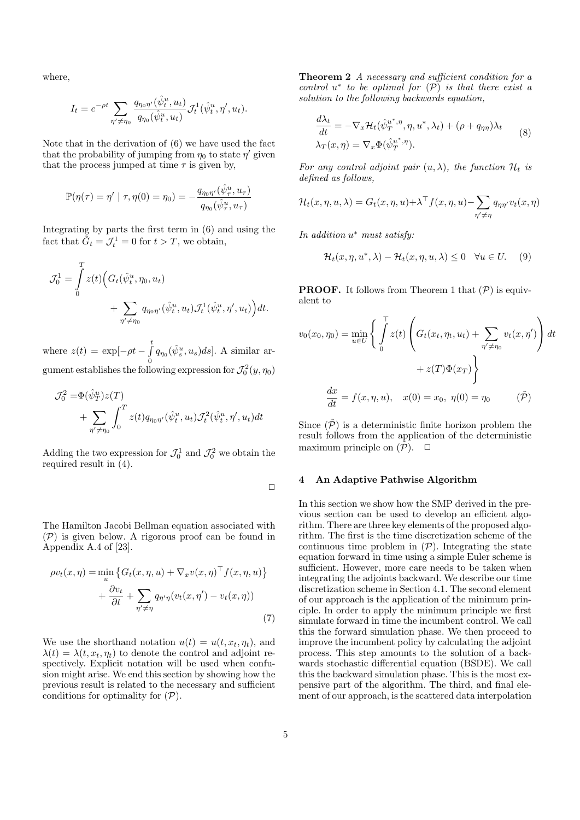where,

$$
I_t = e^{-\rho t} \sum_{\eta' \neq \eta_0} \frac{q_{\eta_0 \eta'}(\hat{\psi}_t^u, u_t)}{q_{\eta_0}(\hat{\psi}_t^u, u_t)} \mathcal{J}_t^1(\hat{\psi}_t^u, \eta', u_t).
$$

Note that in the derivation of (6) we have used the fact that the probability of jumping from  $\eta_0$  to state  $\eta'$  given that the process jumped at time  $\tau$  is given by,

$$
\mathbb{P}(\eta(\tau)=\eta'\mid\tau,\eta(0)=\eta_0)=-\frac{q_{\eta_0\eta'}(\hat{\psi}^u_\tau,u_\tau)}{q_{\eta_0}(\hat{\psi}^u_\tau,u_\tau)}
$$

Integrating by parts the first term in (6) and using the fact that  $\tilde{G}_t = \mathcal{J}_t^1 = 0$  for  $t > T$ , we obtain,

$$
\mathcal{J}_0^1 = \int_0^T z(t) \Big( G_t(\hat{\psi}_t^u, \eta_0, u_t) + \sum_{\eta' \neq \eta_0} q_{\eta_0 \eta'}(\hat{\psi}_t^u, u_t) \mathcal{J}_t^1(\hat{\psi}_t^u, \eta', u_t) \Big) dt.
$$

where  $z(t) = \exp[-\rho t - \int_{0}^{t}$  $\int\limits_{0}^{s} q_{\eta_{0}}(\hat{\psi}_{s}^{u}, u_{s})ds$ . A similar argument establishes the following expression for  $\mathcal{J}_0^2(y,\eta_0)$ 

$$
\mathcal{J}_0^2 = \Phi(\hat{\psi}_T^u) z(T)
$$
  
+ 
$$
\sum_{\eta' \neq \eta_0} \int_0^T z(t) q_{\eta_0 \eta'}(\hat{\psi}_t^u, u_t) \mathcal{J}_t^2(\hat{\psi}_t^u, \eta', u_t) dt
$$

Adding the two expression for  $\mathcal{J}_0^1$  and  $\mathcal{J}_0^2$  we obtain the required result in (4).

 $\Box$ 

The Hamilton Jacobi Bellman equation associated with (P) is given below. A rigorous proof can be found in Appendix A.4 of [23].

$$
\rho v_t(x,\eta) = \min_u \left\{ G_t(x,\eta,u) + \nabla_x v(x,\eta)^\top f(x,\eta,u) \right\} + \frac{\partial v_t}{\partial t} + \sum_{\eta' \neq \eta} q_{\eta'\eta}(v_t(x,\eta') - v_t(x,\eta))
$$
(7)

We use the shorthand notation  $u(t) = u(t, x_t, \eta_t)$ , and  $\lambda(t) = \lambda(t, x_t, \eta_t)$  to denote the control and adjoint respectively. Explicit notation will be used when confusion might arise. We end this section by showing how the previous result is related to the necessary and sufficient conditions for optimality for  $(\mathcal{P})$ .

Theorem 2 A necessary and sufficient condition for a control  $u^*$  to be optimal for  $(\overline{P})$  is that there exist a solution to the following backwards equation,

$$
\frac{d\lambda_t}{dt} = -\nabla_x \mathcal{H}_t(\hat{\psi}_T^{u^*,\eta}, \eta, u^*, \lambda_t) + (\rho + q_{\eta\eta})\lambda_t
$$
  

$$
\lambda_T(x, \eta) = \nabla_x \Phi(\hat{\psi}_T^{u^*,\eta}).
$$
 (8)

For any control adjoint pair  $(u, \lambda)$ , the function  $\mathcal{H}_t$  is defined as follows,

$$
\mathcal{H}_t(x, \eta, u, \lambda) = G_t(x, \eta, u) + \lambda^{\top} f(x, \eta, u) - \sum_{\eta' \neq \eta} q_{\eta \eta'} v_t(x, \eta)
$$

In addition  $u^*$  must satisfy:

$$
\mathcal{H}_t(x,\eta, u^*, \lambda) - \mathcal{H}_t(x,\eta, u, \lambda) \le 0 \quad \forall u \in U. \tag{9}
$$

**PROOF.** It follows from Theorem 1 that  $(\mathcal{P})$  is equivalent to

$$
v_0(x_0, \eta_0) = \min_{u \in U} \left\{ \int_0^T z(t) \left( G_t(x_t, \eta_t, u_t) + \sum_{\eta' \neq \eta_0} v_t(x, \eta') \right) dt + z(T) \Phi(x_T) \right\}
$$

$$
+ z(T) \Phi(x_T) \left\}
$$

$$
\frac{dx}{dt} = f(x, \eta, u), \quad x(0) = x_0, \ \eta(0) = \eta_0 \qquad (\tilde{\mathcal{P}})
$$

Since  $(\tilde{\mathcal{P}})$  is a deterministic finite horizon problem the result follows from the application of the deterministic maximum principle on  $(\mathcal{P})$ .  $\Box$ 

#### 4 An Adaptive Pathwise Algorithm

In this section we show how the SMP derived in the previous section can be used to develop an efficient algorithm. There are three key elements of the proposed algorithm. The first is the time discretization scheme of the continuous time problem in  $(\mathcal{P})$ . Integrating the state equation forward in time using a simple Euler scheme is sufficient. However, more care needs to be taken when integrating the adjoints backward. We describe our time discretization scheme in Section 4.1. The second element of our approach is the application of the minimum principle. In order to apply the minimum principle we first simulate forward in time the incumbent control. We call this the forward simulation phase. We then proceed to improve the incumbent policy by calculating the adjoint process. This step amounts to the solution of a backwards stochastic differential equation (BSDE). We call this the backward simulation phase. This is the most expensive part of the algorithm. The third, and final element of our approach, is the scattered data interpolation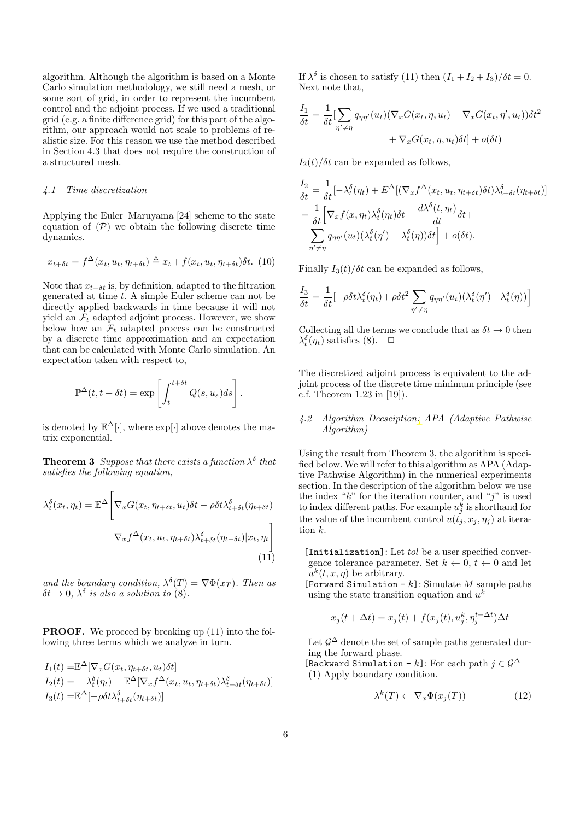algorithm. Although the algorithm is based on a Monte Carlo simulation methodology, we still need a mesh, or some sort of grid, in order to represent the incumbent control and the adjoint process. If we used a traditional grid (e.g. a finite difference grid) for this part of the algorithm, our approach would not scale to problems of realistic size. For this reason we use the method described in Section 4.3 that does not require the construction of a structured mesh.

#### 4.1 Time discretization

Applying the Euler–Maruyama [24] scheme to the state equation of  $(\mathcal{P})$  we obtain the following discrete time dynamics.

$$
x_{t+\delta t} = f^{\Delta}(x_t, u_t, \eta_{t+\delta t}) \triangleq x_t + f(x_t, u_t, \eta_{t+\delta t}) \delta t. \tag{10}
$$

Note that  $x_{t+\delta t}$  is, by definition, adapted to the filtration generated at time  $t$ . A simple Euler scheme can not be directly applied backwards in time because it will not yield an  $\mathcal{F}_t$  adapted adjoint process. However, we show below how an  $\mathcal{F}_t$  adapted process can be constructed by a discrete time approximation and an expectation that can be calculated with Monte Carlo simulation. An expectation taken with respect to,

$$
\mathbb{P}^{\Delta}(t, t + \delta t) = \exp \left[ \int_{t}^{t + \delta t} Q(s, u_s) ds \right].
$$

is denoted by  $\mathbb{E}^{\Delta}[\cdot]$ , where  $\exp[\cdot]$  above denotes the matrix exponential.

**Theorem 3** Suppose that there exists a function  $\lambda^{\delta}$  that satisfies the following equation,

$$
\lambda_t^{\delta}(x_t, \eta_t) = \mathbb{E}^{\Delta} \Bigg[ \nabla_x G(x_t, \eta_{t+\delta t}, u_t) \delta t - \rho \delta t \lambda_{t+\delta t}^{\delta}(\eta_{t+\delta t})
$$

$$
\nabla_x f^{\Delta}(x_t, u_t, \eta_{t+\delta t}) \lambda_{t+\delta t}^{\delta}(\eta_{t+\delta t}) | x_t, \eta_t \Bigg] \tag{11}
$$

and the boundary condition,  $\lambda^{\delta}(T) = \nabla \Phi(x_T)$ . Then as  $\delta t \to 0$ ,  $\lambda^{\delta}$  is also a solution to (8).

PROOF. We proceed by breaking up (11) into the following three terms which we analyze in turn.

$$
I_1(t) = \mathbb{E}^{\Delta} [\nabla_x G(x_t, \eta_{t+\delta t}, u_t) \delta t]
$$
  
\n
$$
I_2(t) = -\lambda_t^{\delta}(\eta_t) + \mathbb{E}^{\Delta} [\nabla_x f^{\Delta}(x_t, u_t, \eta_{t+\delta t}) \lambda_{t+\delta t}^{\delta}(\eta_{t+\delta t})]
$$
  
\n
$$
I_3(t) = \mathbb{E}^{\Delta} [-\rho \delta t \lambda_{t+\delta t}^{\delta}(\eta_{t+\delta t})]
$$

If  $\lambda^{\delta}$  is chosen to satisfy (11) then  $(I_1 + I_2 + I_3)/\delta t = 0$ . Next note that,

$$
\frac{I_1}{\delta t} = \frac{1}{\delta t} \left[ \sum_{\eta' \neq \eta} q_{\eta \eta'}(u_t) (\nabla_x G(x_t, \eta, u_t) - \nabla_x G(x_t, \eta', u_t)) \delta t^2 + \nabla_x G(x_t, \eta, u_t) \delta t \right] + o(\delta t)
$$

 $I_2(t)/\delta t$  can be expanded as follows,

$$
\frac{I_2}{\delta t} = \frac{1}{\delta t} \left[ -\lambda_t^{\delta}(\eta_t) + E^{\Delta}[(\nabla_x f^{\Delta}(x_t, u_t, \eta_{t+\delta t})\delta t)\lambda_{t+\delta t}^{\delta}(\eta_{t+\delta t})] \right]
$$
\n
$$
= \frac{1}{\delta t} \left[ \nabla_x f(x, \eta_t) \lambda_t^{\delta}(\eta_t) \delta t + \frac{d\lambda^{\delta}(t, \eta_t)}{dt} \delta t + \sum_{\eta' \neq \eta} q_{\eta\eta'}(u_t) (\lambda_t^{\delta}(\eta') - \lambda_t^{\delta}(\eta)) \delta t \right] + o(\delta t).
$$

Finally  $I_3(t)/\delta t$  can be expanded as follows,

$$
\frac{I_3}{\delta t} = \frac{1}{\delta t} \left[ -\rho \delta t \lambda_t^{\delta}(\eta_t) + \rho \delta t^2 \sum_{\eta' \neq \eta} q_{\eta \eta'}(u_t) (\lambda_t^{\delta}(\eta') - \lambda_t^{\delta}(\eta)) \right]
$$

Collecting all the terms we conclude that as  $\delta t \to 0$  then  $\lambda_t^{\delta}(\eta_t)$  satisfies (8).  $\Box$ 

The discretized adjoint process is equivalent to the adjoint process of the discrete time minimum principle (see c.f. Theorem 1.23 in [19]).

## 4.2 Algorithm Decsciption: APA (Adaptive Pathwise Algorithm)

Using the result from Theorem 3, the algorithm is specified below. We will refer to this algorithm as APA (Adaptive Pathwise Algorithm) in the numerical experiments section. In the description of the algorithm below we use the index " $k$ " for the iteration counter, and "j" is used to index different paths. For example  $u_j^k$  is shorthand for the value of the incumbent control  $u(t_1, x_j, \eta_j)$  at iteration k.

[Initialization]: Let  $tol$  be a user specified convergence tolerance parameter. Set  $k \leftarrow 0$ ,  $t \leftarrow 0$  and let  $u^k(t, x, \eta)$  be arbitrary.

[Forward Simulation - k]: Simulate M sample paths using the state transition equation and  $u<sup>k</sup>$ 

$$
x_j(t + \Delta t) = x_j(t) + f(x_j(t), u_j^k, \eta_j^{t + \Delta t})\Delta t
$$

Let  $\mathcal{G}^{\Delta}$  denote the set of sample paths generated during the forward phase.

[Backward Simulation - k]: For each path  $j \in \mathcal{G}^{\Delta}$ (1) Apply boundary condition.

$$
\lambda^k(T) \leftarrow \nabla_x \Phi(x_j(T)) \tag{12}
$$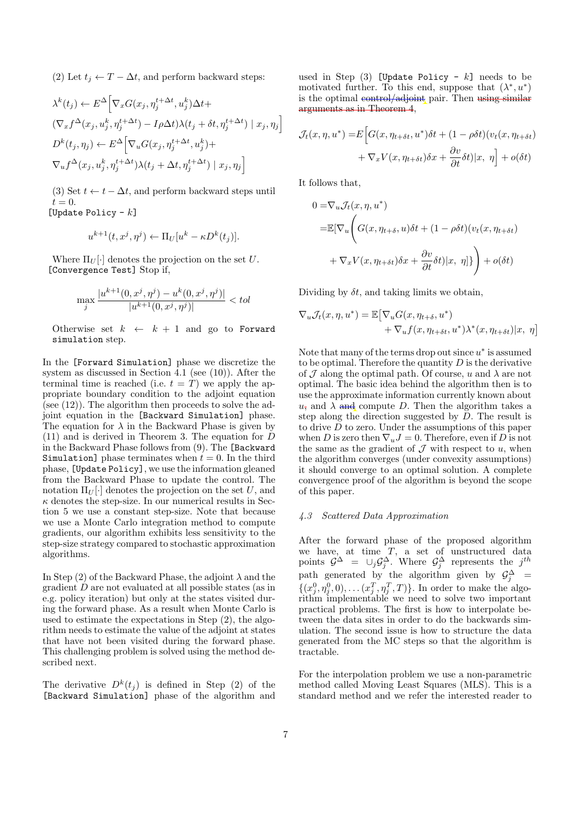(2) Let  $t_i \leftarrow T - \Delta t$ , and perform backward steps:

$$
\lambda^{k}(t_{j}) \leftarrow E^{\Delta} \Big[ \nabla_{x} G(x_{j}, \eta_{j}^{t+\Delta t}, u_{j}^{k}) \Delta t +
$$
  
\n
$$
(\nabla_{x} f^{\Delta}(x_{j}, u_{j}^{k}, \eta_{j}^{t+\Delta t}) - I \rho \Delta t) \lambda(t_{j} + \delta t, \eta_{j}^{t+\Delta t}) \mid x_{j}, \eta_{j} \Big]
$$
  
\n
$$
D^{k}(t_{j}, \eta_{j}) \leftarrow E^{\Delta} \Big[ \nabla_{u} G(x_{j}, \eta_{j}^{t+\Delta t}, u_{j}^{k}) +
$$
  
\n
$$
\nabla_{u} f^{\Delta}(x_{j}, u_{j}^{k}, \eta_{j}^{t+\Delta t}) \lambda(t_{j} + \Delta t, \eta_{j}^{t+\Delta t}) \mid x_{j}, \eta_{j} \Big]
$$

(3) Set  $t \leftarrow t - \Delta t$ , and perform backward steps until  $t=0$ .

[Update Policy  $-k$ ]

$$
u^{k+1}(t, x^j, \eta^j) \leftarrow \Pi_U[u^k - \kappa D^k(t_j)].
$$

Where  $\Pi_U[\cdot]$  denotes the projection on the set U. [Convergence Test] Stop if,

$$
\max_{j} \frac{|u^{k+1}(0, x^{j}, \eta^{j}) - u^{k}(0, x^{j}, \eta^{j})|}{|u^{k+1}(0, x^{j}, \eta^{j})|} < tol
$$

Otherwise set  $k \leftarrow k + 1$  and go to Forward simulation step.

In the [Forward Simulation] phase we discretize the system as discussed in Section 4.1 (see (10)). After the terminal time is reached (i.e.  $t = T$ ) we apply the appropriate boundary condition to the adjoint equation (see (12)). The algorithm then proceeds to solve the adjoint equation in the [Backward Simulation] phase. The equation for  $\lambda$  in the Backward Phase is given by (11) and is derived in Theorem 3. The equation for D in the Backward Phase follows from (9). The [Backward Simulation] phase terminates when  $t = 0$ . In the third phase, [Update Policy], we use the information gleaned from the Backward Phase to update the control. The notation  $\Pi_U[\cdot]$  denotes the projection on the set U, and  $\kappa$  denotes the step-size. In our numerical results in Section 5 we use a constant step-size. Note that because we use a Monte Carlo integration method to compute gradients, our algorithm exhibits less sensitivity to the step-size strategy compared to stochastic approximation algorithms.

In Step (2) of the Backward Phase, the adjoint  $\lambda$  and the gradient D are not evaluated at all possible states (as in e.g. policy iteration) but only at the states visited during the forward phase. As a result when Monte Carlo is used to estimate the expectations in Step (2), the algorithm needs to estimate the value of the adjoint at states that have not been visited during the forward phase. This challenging problem is solved using the method described next.

The derivative  $D^k(t_j)$  is defined in Step (2) of the [Backward Simulation] phase of the algorithm and

used in Step  $(3)$  [Update Policy - k] needs to be motivated further. To this end, suppose that  $(\lambda^*, u^*)$ is the optimal control/adjoint pair. Then using similar arguments as in Theorem 4,

$$
\mathcal{J}_t(x, \eta, u^*) = E\Big[G(x, \eta_{t+\delta t}, u^*)\delta t + (1 - \rho \delta t)(v_t(x, \eta_{t+\delta t}) + \nabla_x V(x, \eta_{t+\delta t})\delta x + \frac{\partial v}{\partial t}\delta t)|x, \eta\Big] + o(\delta t)
$$

It follows that,

$$
0 = \nabla_u \mathcal{J}_t(x, \eta, u^*)
$$
  
=  $\mathbb{E}[\nabla_u \left( G(x, \eta_{t+\delta}, u) \delta t + (1 - \rho \delta t) (v_t(x, \eta_{t+\delta t}) + \nabla_x V(x, \eta_{t+\delta t}) \delta x + \frac{\partial v}{\partial t} \delta t) |x, \eta] \right) + o(\delta t)$ 

Dividing by  $\delta t$ , and taking limits we obtain,

$$
\nabla_u \mathcal{J}_t(x, \eta, u^*) = \mathbb{E} \big[ \nabla_u G(x, \eta_{t+\delta}, u^*) + \nabla_u f(x, \eta_{t+\delta t}, u^*) \lambda^*(x, \eta_{t+\delta t}) | x, \eta \big]
$$

Note that many of the terms drop out since  $u^*$  is assumed to be optimal. Therefore the quantity  $D$  is the derivative of  $\mathcal J$  along the optimal path. Of course, u and  $\lambda$  are not optimal. The basic idea behind the algorithm then is to use the approximate information currently known about  $u_{\tau}$  and  $\lambda$  and compute D. Then the algorithm takes a step along the direction suggested by D. The result is to drive  $D$  to zero. Under the assumptions of this paper when D is zero then  $\nabla_u J = 0$ . Therefore, even if D is not the same as the gradient of  $\mathcal J$  with respect to  $u$ , when the algorithm converges (under convexity assumptions) it should converge to an optimal solution. A complete convergence proof of the algorithm is beyond the scope of this paper.

#### 4.3 Scattered Data Approximation

After the forward phase of the proposed algorithm we have, at time  $T$ , a set of unstructured data points  $\mathcal{G}^{\Delta} = \cup_j \mathcal{G}_j^{\Delta}$ . Where  $\mathcal{G}_j^{\Delta}$  represents the  $j^{th}$ path generated by the algorithm given by  $\mathcal{G}_j^{\Delta}$  =  $\{(x_j^0, \eta_j^0, 0), \dots, (x_j^T, \eta_j^T, T)\}\.$  In order to make the algorithm implementable we need to solve two important practical problems. The first is how to interpolate between the data sites in order to do the backwards simulation. The second issue is how to structure the data generated from the MC steps so that the algorithm is tractable.

For the interpolation problem we use a non-parametric method called Moving Least Squares (MLS). This is a standard method and we refer the interested reader to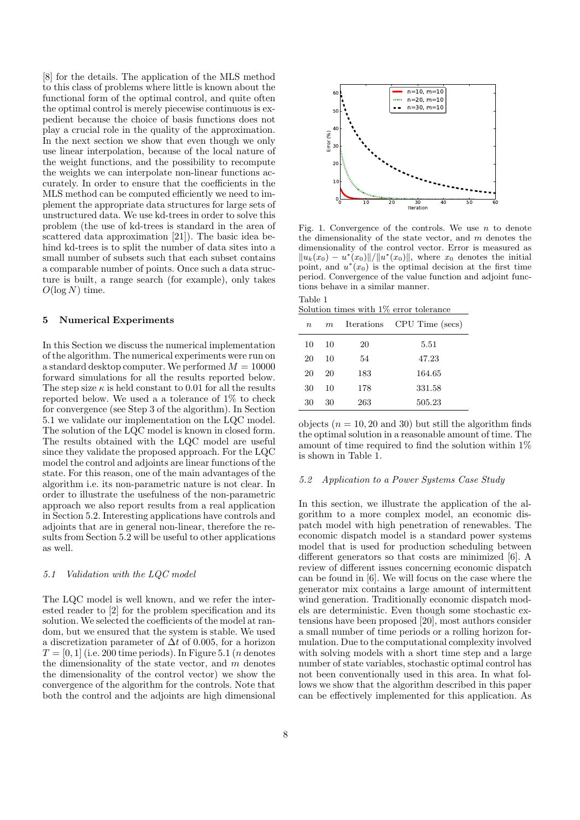[8] for the details. The application of the MLS method to this class of problems where little is known about the functional form of the optimal control, and quite often the optimal control is merely piecewise continuous is expedient because the choice of basis functions does not play a crucial role in the quality of the approximation. In the next section we show that even though we only use linear interpolation, because of the local nature of the weight functions, and the possibility to recompute the weights we can interpolate non-linear functions accurately. In order to ensure that the coefficients in the MLS method can be computed efficiently we need to implement the appropriate data structures for large sets of unstructured data. We use kd-trees in order to solve this problem (the use of kd-trees is standard in the area of scattered data approximation [21]). The basic idea behind kd-trees is to split the number of data sites into a small number of subsets such that each subset contains a comparable number of points. Once such a data structure is built, a range search (for example), only takes  $O(\log N)$  time.

#### 5 Numerical Experiments

In this Section we discuss the numerical implementation of the algorithm. The numerical experiments were run on a standard desktop computer. We performed  $M = 10000$ forward simulations for all the results reported below. The step size  $\kappa$  is held constant to 0.01 for all the results reported below. We used a a tolerance of 1% to check for convergence (see Step 3 of the algorithm). In Section 5.1 we validate our implementation on the LQC model. The solution of the LQC model is known in closed form. The results obtained with the LQC model are useful since they validate the proposed approach. For the LQC model the control and adjoints are linear functions of the state. For this reason, one of the main advantages of the algorithm i.e. its non-parametric nature is not clear. In order to illustrate the usefulness of the non-parametric approach we also report results from a real application in Section 5.2. Interesting applications have controls and adjoints that are in general non-linear, therefore the results from Section 5.2 will be useful to other applications as well.

#### 5.1 Validation with the LQC model

The LQC model is well known, and we refer the interested reader to [2] for the problem specification and its solution. We selected the coefficients of the model at random, but we ensured that the system is stable. We used a discretization parameter of  $\Delta t$  of 0.005, for a horizon  $T = [0, 1]$  (i.e. 200 time periods). In Figure 5.1 (*n* denotes the dimensionality of the state vector, and  $m$  denotes the dimensionality of the control vector) we show the convergence of the algorithm for the controls. Note that both the control and the adjoints are high dimensional



Fig. 1. Convergence of the controls. We use  $n$  to denote the dimensionality of the state vector, and  $m$  denotes the dimensionality of the control vector. Error is measured as  $||u_k(x_0) - u^*(x_0)||/||u^*(x_0)||$ , where  $x_0$  denotes the initial point, and  $u^*(x_0)$  is the optimal decision at the first time period. Convergence of the value function and adjoint functions behave in a similar manner.

| Table 1 |  |  |                                         |  |
|---------|--|--|-----------------------------------------|--|
|         |  |  | Solution times with 1\% error tolerance |  |

| $\boldsymbol{n}$ | m  |     | Iterations CPU Time (secs) |
|------------------|----|-----|----------------------------|
| 10               | 10 | 20  | 5.51                       |
| 20               | 10 | 54  | 47.23                      |
| 20               | 20 | 183 | 164.65                     |
| 30               | 10 | 178 | 331.58                     |
| 30               | 30 | 263 | 505.23                     |

objects  $(n = 10, 20 \text{ and } 30)$  but still the algorithm finds the optimal solution in a reasonable amount of time. The amount of time required to find the solution within  $1\%$ is shown in Table 1.

#### 5.2 Application to a Power Systems Case Study

In this section, we illustrate the application of the algorithm to a more complex model, an economic dispatch model with high penetration of renewables. The economic dispatch model is a standard power systems model that is used for production scheduling between different generators so that costs are minimized [6]. A review of different issues concerning economic dispatch can be found in [6]. We will focus on the case where the generator mix contains a large amount of intermittent wind generation. Traditionally economic dispatch models are deterministic. Even though some stochastic extensions have been proposed [20], most authors consider a small number of time periods or a rolling horizon formulation. Due to the computational complexity involved with solving models with a short time step and a large number of state variables, stochastic optimal control has not been conventionally used in this area. In what follows we show that the algorithm described in this paper can be effectively implemented for this application. As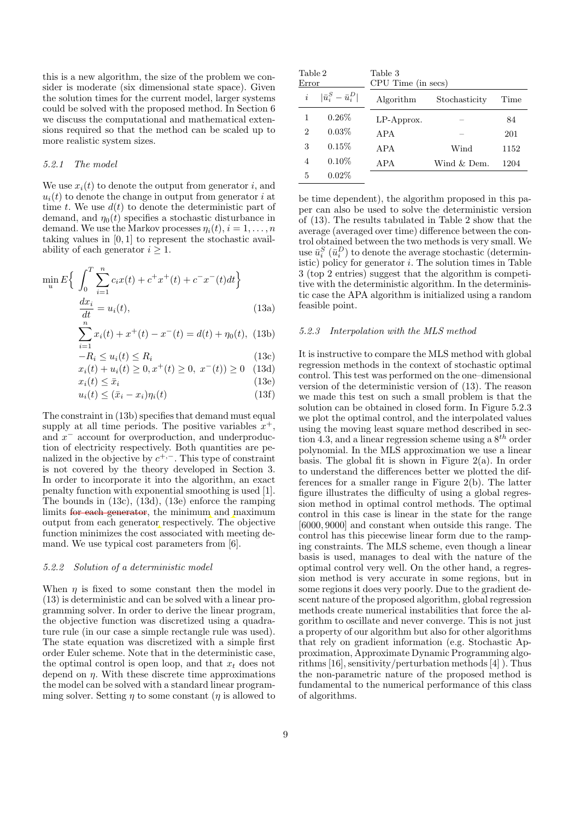this is a new algorithm, the size of the problem we consider is moderate (six dimensional state space). Given the solution times for the current model, larger systems could be solved with the proposed method. In Section 6 we discuss the computational and mathematical extensions required so that the method can be scaled up to more realistic system sizes.

## 5.2.1 The model

We use  $x_i(t)$  to denote the output from generator i, and  $u_i(t)$  to denote the change in output from generator i at time t. We use  $d(t)$  to denote the deterministic part of demand, and  $\eta_0(t)$  specifies a stochastic disturbance in demand. We use the Markov processes  $\eta_i(t)$ ,  $i = 1, \ldots, n$ taking values in [0, 1] to represent the stochastic availability of each generator  $i \geq 1$ .

$$
\min_{u} E\left\{ \int_{0}^{T} \sum_{i=1}^{n} c_{i}x(t) + c^{+}x^{+}(t) + c^{-}x^{-}(t)dt \right\}
$$

$$
\frac{dx_{i}}{dt} = u_{i}(t),
$$
(13a)

$$
\sum_{i=1}^{n} x_i(t) + x^+(t) - x^-(t) = d(t) + \eta_0(t), \tag{13b}
$$

$$
-R_i \le u_i(t) \le R_i \tag{13c}
$$

$$
x_i(t) + u_i(t) \ge 0, x^+(t) \ge 0, x^-(t) \ge 0 \quad (13d)
$$

$$
x_i(t) \le \bar{x}_i \tag{13e}
$$

$$
u_i(t) \leq (\bar{x}_i - x_i)\eta_i(t) \tag{13f}
$$

The constraint in (13b) specifies that demand must equal supply at all time periods. The positive variables  $x^+$ , and  $x^-$  account for overproduction, and underproduction of electricity respectively. Both quantities are penalized in the objective by  $c^{+,-}$ . This type of constraint is not covered by the theory developed in Section 3. In order to incorporate it into the algorithm, an exact penalty function with exponential smoothing is used [1]. The bounds in (13c), (13d), (13e) enforce the ramping limits for each generator, the minimum and maximum output from each generator respectively. The objective function minimizes the cost associated with meeting demand. We use typical cost parameters from [6].

#### 5.2.2 Solution of a deterministic model

When  $\eta$  is fixed to some constant then the model in (13) is deterministic and can be solved with a linear programming solver. In order to derive the linear program, the objective function was discretized using a quadrature rule (in our case a simple rectangle rule was used). The state equation was discretized with a simple first order Euler scheme. Note that in the deterministic case, the optimal control is open loop, and that  $x_t$  does not depend on  $\eta$ . With these discrete time approximations the model can be solved with a standard linear programming solver. Setting  $\eta$  to some constant ( $\eta$  is allowed to

| Table 2<br>Error |                               | Table 3<br>CPU Time (in secs) |               |      |  |  |
|------------------|-------------------------------|-------------------------------|---------------|------|--|--|
| $\dot{i}$        | $ \bar{u}_i^S - \bar{u}_i^D $ | Algorithm                     | Stochasticity | Time |  |  |
| 1                | $0.26\%$                      | $LP$ -Approx.                 |               | 84   |  |  |
| $\overline{2}$   | $0.03\%$                      | APA                           |               | 201  |  |  |
| 3                | 0.15%                         | APA                           | Wind          | 1152 |  |  |
| 4                | $0.10\%$                      | APA                           | Wind & Dem.   | 1204 |  |  |
| 5                | $0.02\%$                      |                               |               |      |  |  |

be time dependent), the algorithm proposed in this paper can also be used to solve the deterministic version of (13). The results tabulated in Table 2 show that the average (averaged over time) difference between the control obtained between the two methods is very small. We use  $\bar{u}_i^S(\bar{u}_i^D)$  to denote the average stochastic (deterministic) policy for generator  $i$ . The solution times in Table 3 (top 2 entries) suggest that the algorithm is competitive with the deterministic algorithm. In the deterministic case the APA algorithm is initialized using a random feasible point.

#### 5.2.3 Interpolation with the MLS method

It is instructive to compare the MLS method with global regression methods in the context of stochastic optimal control. This test was performed on the one–dimensional version of the deterministic version of (13). The reason we made this test on such a small problem is that the solution can be obtained in closed form. In Figure 5.2.3 we plot the optimal control, and the interpolated values using the moving least square method described in section 4.3, and a linear regression scheme using a  $8^{th}$  order polynomial. In the MLS approximation we use a linear basis. The global fit is shown in Figure 2(a). In order to understand the differences better we plotted the differences for a smaller range in Figure 2(b). The latter figure illustrates the difficulty of using a global regression method in optimal control methods. The optimal control in this case is linear in the state for the range [6000, 9000] and constant when outside this range. The control has this piecewise linear form due to the ramping constraints. The MLS scheme, even though a linear basis is used, manages to deal with the nature of the optimal control very well. On the other hand, a regression method is very accurate in some regions, but in some regions it does very poorly. Due to the gradient descent nature of the proposed algorithm, global regression methods create numerical instabilities that force the algorithm to oscillate and never converge. This is not just a property of our algorithm but also for other algorithms that rely on gradient information (e.g. Stochastic Approximation, Approximate Dynamic Programming algorithms [16], sensitivity/perturbation methods [4] ). Thus the non-parametric nature of the proposed method is fundamental to the numerical performance of this class of algorithms.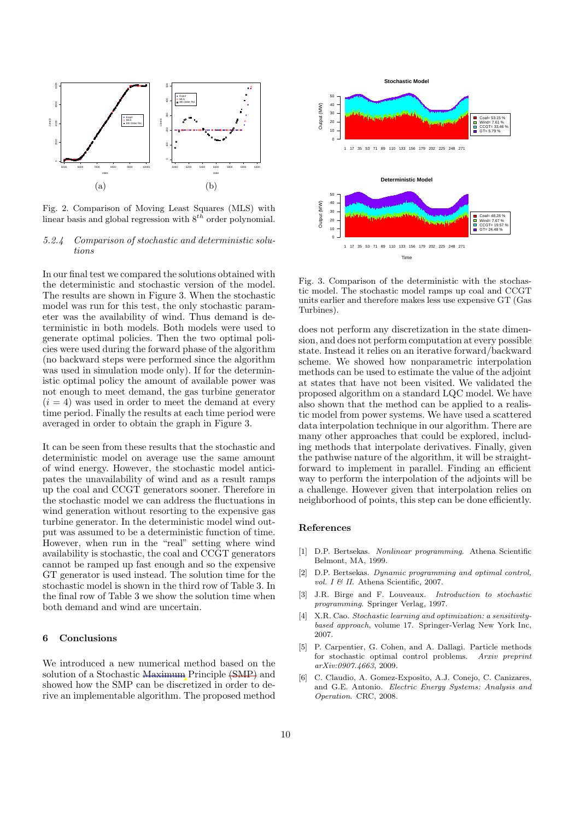

Fig. 2. Comparison of Moving Least Squares (MLS) with linear basis and global regression with  $8^{th}$  order polynomial.

## 5.2.4 Comparison of stochastic and deterministic solutions

In our final test we compared the solutions obtained with the deterministic and stochastic version of the model. The results are shown in Figure 3. When the stochastic model was run for this test, the only stochastic parameter was the availability of wind. Thus demand is deterministic in both models. Both models were used to generate optimal policies. Then the two optimal policies were used during the forward phase of the algorithm (no backward steps were performed since the algorithm was used in simulation mode only). If for the deterministic optimal policy the amount of available power was not enough to meet demand, the gas turbine generator  $(i = 4)$  was used in order to meet the demand at every time period. Finally the results at each time period were averaged in order to obtain the graph in Figure 3.

It can be seen from these results that the stochastic and deterministic model on average use the same amount of wind energy. However, the stochastic model anticipates the unavailability of wind and as a result ramps up the coal and CCGT generators sooner. Therefore in the stochastic model we can address the fluctuations in wind generation without resorting to the expensive gas turbine generator. In the deterministic model wind output was assumed to be a deterministic function of time. However, when run in the "real" setting where wind availability is stochastic, the coal and CCGT generators cannot be ramped up fast enough and so the expensive GT generator is used instead. The solution time for the stochastic model is shown in the third row of Table 3. In the final row of Table 3 we show the solution time when both demand and wind are uncertain.

# 6 Conclusions

We introduced a new numerical method based on the solution of a Stochastic Maximum Principle (SMP) and showed how the SMP can be discretized in order to derive an implementable algorithm. The proposed method



Fig. 3. Comparison of the deterministic with the stochastic model. The stochastic model ramps up coal and CCGT units earlier and therefore makes less use expensive GT (Gas Turbines).

does not perform any discretization in the state dimension, and does not perform computation at every possible state. Instead it relies on an iterative forward/backward scheme. We showed how nonparametric interpolation methods can be used to estimate the value of the adjoint at states that have not been visited. We validated the proposed algorithm on a standard LQC model. We have also shown that the method can be applied to a realistic model from power systems. We have used a scattered data interpolation technique in our algorithm. There are many other approaches that could be explored, including methods that interpolate derivatives. Finally, given the pathwise nature of the algorithm, it will be straightforward to implement in parallel. Finding an efficient way to perform the interpolation of the adjoints will be a challenge. However given that interpolation relies on neighborhood of points, this step can be done efficiently.

## References

- [1] D.P. Bertsekas. Nonlinear programming. Athena Scientific Belmont, MA, 1999.
- [2] D.P. Bertsekas. Dynamic programming and optimal control, vol. I & II. Athena Scientific, 2007.
- [3] J.R. Birge and F. Louveaux. Introduction to stochastic programming. Springer Verlag, 1997.
- [4] X.R. Cao. Stochastic learning and optimization: a sensitivitybased approach, volume 17. Springer-Verlag New York Inc, 2007.
- [5] P. Carpentier, G. Cohen, and A. Dallagi. Particle methods for stochastic optimal control problems. Arxiv preprint arXiv:0907.4663, 2009.
- [6] C. Claudio, A. Gomez-Exposito, A.J. Conejo, C. Canizares, and G.E. Antonio. Electric Energy Systems: Analysis and Operation. CRC, 2008.